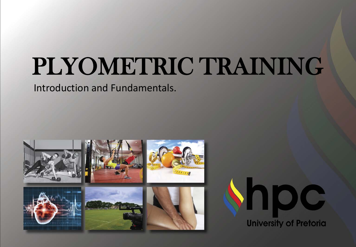## PLYOMETRIC TRAINING

Introduction and Fundamentals.

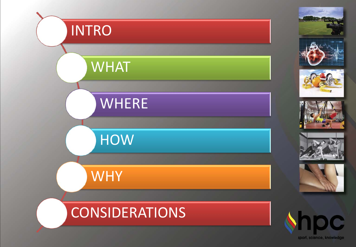

sport, science, knowledge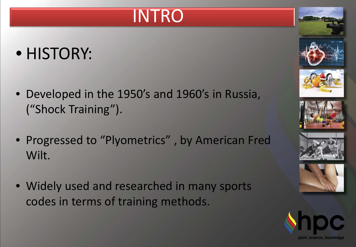#### INTRO

#### • HISTORY:

- Developed in the 1950's and 1960's in Russia, ("Shock Training").
- Progressed to "Plyometrics" , by American Fred Wilt.
- Widely used and researched in many sports codes in terms of training methods.











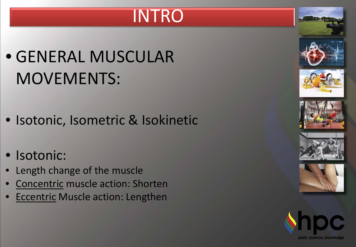#### INTRO

#### • GENERAL MUSCULAR MOVEMENTS:

- Isotonic, Isometric & Isokinetic
- Isotonic:
- Length change of the muscle
- Concentric muscle action: Shorten
- **Eccentric Muscle action: Lengthen**







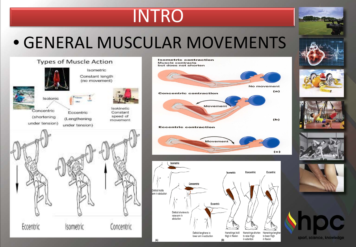#### INTRO

#### • GENERAL MUSCULAR MOVEMENTS













 $(A)$ 

 $(B)$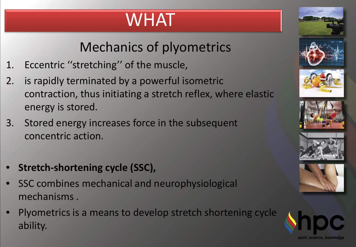#### WHAT

#### Mechanics of plyometrics

- 1. Eccentric ''stretching'' of the muscle,
- 2. is rapidly terminated by a powerful isometric contraction, thus initiating a stretch reflex, where elastic energy is stored.
- 3. Stored energy increases force in the subsequent concentric action.
- **Stretch-shortening cycle (SSC),**
- SSC combines mechanical and neurophysiological mechanisms .
- Plyometrics is a means to develop stretch shortening cycle ability.









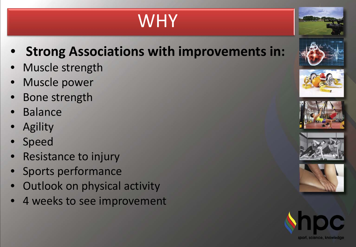### WHY

- **Strong Associations with improvements in:**
- Muscle strength
- Muscle power
- Bone strength
- **Balance**
- **Agility**
- **Speed**
- Resistance to injury
- Sports performance
- **Outlook on physical activity**
- 4 weeks to see improvement











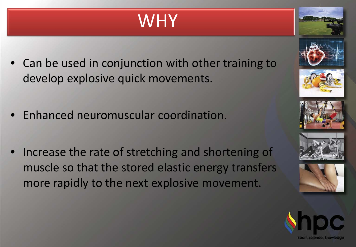### **WHY**

- Can be used in conjunction with other training to develop explosive quick movements.
- Enhanced neuromuscular coordination.
- Increase the rate of stretching and shortening of muscle so that the stored elastic energy transfers more rapidly to the next explosive movement.







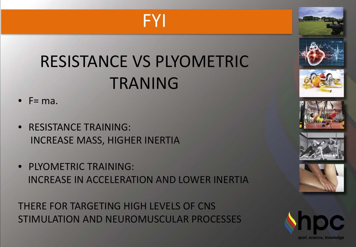#### FYI

#### RESISTANCE VS PLYOMETRIC TRANING



- RESISTANCE TRAINING: INCREASE MASS, HIGHER INERTIA
- PLYOMETRIC TRAINING: INCREASE IN ACCELERATION AND LOWER INERTIA

THERE FOR TARGETING HIGH LEVELS OF CNS STIMULATION AND NEUROMUSCULAR PROCESSES













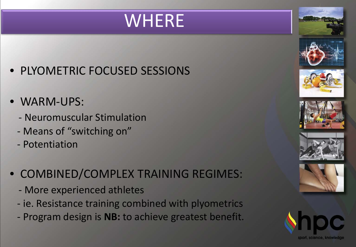#### WHERE

- PLYOMETRIC FOCUSED SESSIONS
- WARM-UPS:
	- Neuromuscular Stimulation
	- Means of "switching on"
	- Potentiation
- COMBINED/COMPLEX TRAINING REGIMES:
	- More experienced athletes
	- ie. Resistance training combined with plyometrics
	- Program design is **NB:** to achieve greatest benefit.









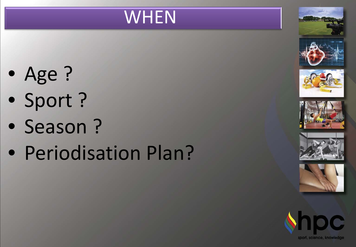#### **WHEN**

- Age ?
- Sport ?
- Season ?
- Periodisation Plan?











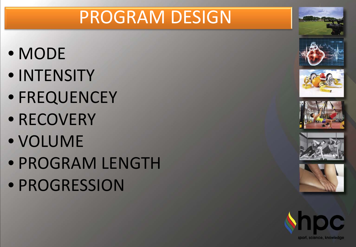#### PROGRAM DESIGN

- MODE
- INTENSITY
- FREQUENCEY
- RECOVERY
- VOLUME
- PROGRAM LENGTH
- PROGRESSION











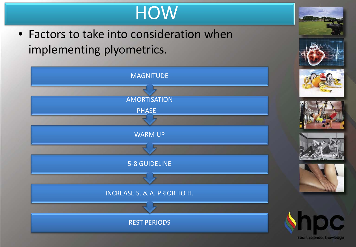#### **HOW**

• Factors to take into consideration when implementing plyometrics.



sport, science, knowledge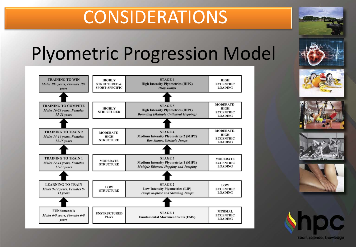#### CONSIDERATIONS

#### Plyometric Progression Model















sport, science, knowledge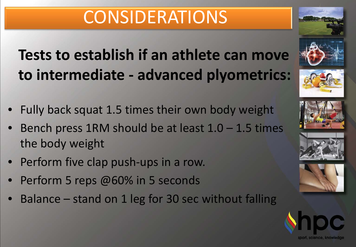#### CONSIDERATIONS

#### **Tests to establish if an athlete can move to intermediate - advanced plyometrics:**

- Fully back squat 1.5 times their own body weight
- Bench press 1RM should be at least  $1.0 1.5$  times the body weight
- Perform five clap push-ups in a row.
- Perform 5 reps @60% in 5 seconds
- Balance stand on 1 leg for 30 sec without falling











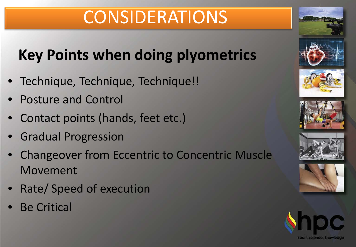#### CONSIDERATIONS

#### **Key Points when doing plyometrics**

- Technique, Technique, Technique!!
- Posture and Control
- Contact points (hands, feet etc.)
- Gradual Progression
- Changeover from Eccentric to Concentric Muscle Movement
- Rate/ Speed of execution
- **Be Critical**











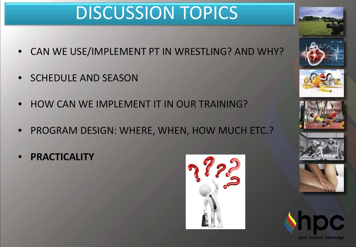#### DISCUSSION TOPICS

- CAN WE USE/IMPLEMENT PT IN WRESTLING? AND WHY?
- SCHEDULE AND SEASON
- HOW CAN WE IMPLEMENT IT IN OUR TRAINING?
- PROGRAM DESIGN: WHERE, WHEN, HOW MUCH ETC.?
- **PRACTICALITY**















sport, science, knowledge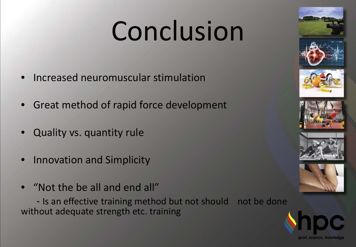# Conclusion

- Increased neuromuscular stimulation
- Great method of rapid force development
- Quality vs. quantity rule
- Innovation and Simplicity
- "Not the be all and end all"

 - Is an effective training method but not should not be done without adequate strength etc. training







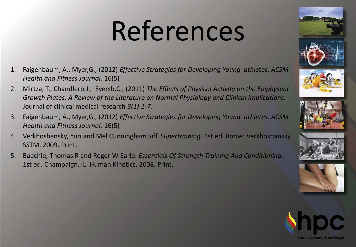# References

- 1. Faigenbaum, A., Myer,G., (2012) *Effective Strategies for Developing Young athletes. ACSM Health and Fitness Journal.* 16(5)
- 2. Mirtza, T., Chandlerb,J., Eyersb,C., (2011) *The Effects of Physical Activity on the Epiphyseal Growth Plates: A Review of the Literature on Normal Physiology and Clinical Implications.*  Journal of clinical medical research*.3(1) 1-7.*
- 3. Faigenbaum, A., Myer,G., (2012) *Effective Strategies for Developing Young athletes. ACSM Health and Fitness Journal.* 16(5)
- 4. Verkhoshansky, Yuri and Mel Cunningham Siff. *Supertraining*. 1st ed. Rome: Verkhoshansky SSTM, 2009. Print.
- 5. Baechle, Thomas R and Roger W Earle. *Essentials Of Strength Training And Conditioning*. 1st ed. Champaign, IL: Human Kinetics, 2008. Print.